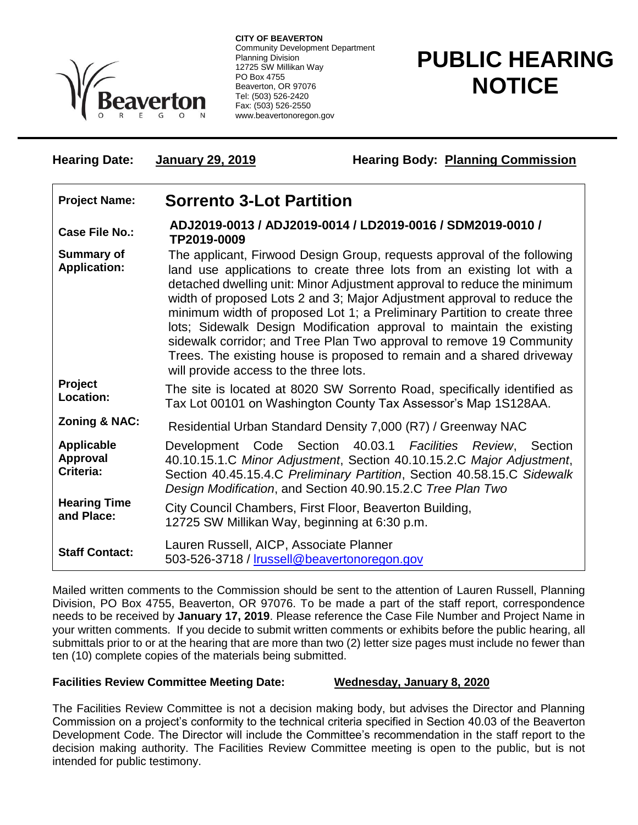

**CITY OF BEAVERTON** Community Development Department Planning Division 12725 SW Millikan Way PO Box 4755 Beaverton, OR 97076 Tel: (503) 526-2420 Fax: (503) 526-2550 www.beavertonoregon.gov

**Hearing Date: January 29, 2019 Hearing Body: Planning Commission**

## **PUBLIC HEARING NOTICE**

| <b>Project Name:</b>                       | <b>Sorrento 3-Lot Partition</b>                                                                                                                                                                                                                                                                                                                                                                                                                                                                                                                                                                                                                        |
|--------------------------------------------|--------------------------------------------------------------------------------------------------------------------------------------------------------------------------------------------------------------------------------------------------------------------------------------------------------------------------------------------------------------------------------------------------------------------------------------------------------------------------------------------------------------------------------------------------------------------------------------------------------------------------------------------------------|
| Case File No.:                             | ADJ2019-0013 / ADJ2019-0014 / LD2019-0016 / SDM2019-0010 /<br>TP2019-0009                                                                                                                                                                                                                                                                                                                                                                                                                                                                                                                                                                              |
| <b>Summary of</b><br><b>Application:</b>   | The applicant, Firwood Design Group, requests approval of the following<br>land use applications to create three lots from an existing lot with a<br>detached dwelling unit: Minor Adjustment approval to reduce the minimum<br>width of proposed Lots 2 and 3; Major Adjustment approval to reduce the<br>minimum width of proposed Lot 1; a Preliminary Partition to create three<br>lots; Sidewalk Design Modification approval to maintain the existing<br>sidewalk corridor; and Tree Plan Two approval to remove 19 Community<br>Trees. The existing house is proposed to remain and a shared driveway<br>will provide access to the three lots. |
| Project<br>Location:                       | The site is located at 8020 SW Sorrento Road, specifically identified as<br>Tax Lot 00101 on Washington County Tax Assessor's Map 1S128AA.                                                                                                                                                                                                                                                                                                                                                                                                                                                                                                             |
| Zoning & NAC:                              | Residential Urban Standard Density 7,000 (R7) / Greenway NAC                                                                                                                                                                                                                                                                                                                                                                                                                                                                                                                                                                                           |
| <b>Applicable</b><br>Approval<br>Criteria: | Development Code Section 40.03.1 Facilities Review, Section<br>40.10.15.1.C Minor Adjustment, Section 40.10.15.2.C Major Adjustment,<br>Section 40.45.15.4.C Preliminary Partition, Section 40.58.15.C Sidewalk<br>Design Modification, and Section 40.90.15.2.C Tree Plan Two                                                                                                                                                                                                                                                                                                                                                                         |
| <b>Hearing Time</b><br>and Place:          | City Council Chambers, First Floor, Beaverton Building,<br>12725 SW Millikan Way, beginning at 6:30 p.m.                                                                                                                                                                                                                                                                                                                                                                                                                                                                                                                                               |
| <b>Staff Contact:</b>                      | Lauren Russell, AICP, Associate Planner<br>503-526-3718 / Irussell@beavertonoregon.gov                                                                                                                                                                                                                                                                                                                                                                                                                                                                                                                                                                 |

Mailed written comments to the Commission should be sent to the attention of Lauren Russell, Planning Division, PO Box 4755, Beaverton, OR 97076. To be made a part of the staff report, correspondence needs to be received by **January 17, 2019**. Please reference the Case File Number and Project Name in your written comments. If you decide to submit written comments or exhibits before the public hearing, all submittals prior to or at the hearing that are more than two (2) letter size pages must include no fewer than ten (10) complete copies of the materials being submitted.

## **Facilities Review Committee Meeting Date: Wednesday, January 8, 2020**

The Facilities Review Committee is not a decision making body, but advises the Director and Planning Commission on a project's conformity to the technical criteria specified in Section 40.03 of the Beaverton Development Code. The Director will include the Committee's recommendation in the staff report to the decision making authority. The Facilities Review Committee meeting is open to the public, but is not intended for public testimony.